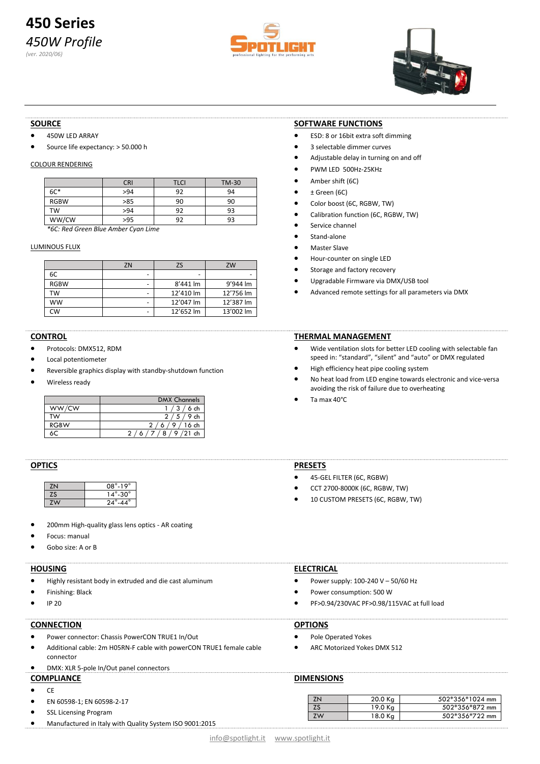# **450 Series** *450W Profile (ver. 2020/06)*





#### **SOURCE**

- 450W LED ARRAY
- Source life expectancy: > 50.000 h

# COLOUR RENDERING

|             | <b>CRI</b> | <b>TLCI</b> | <b>TM-30</b> |  |  |  |
|-------------|------------|-------------|--------------|--|--|--|
| $6C*$       | >94        | ۹J          | 94           |  |  |  |
| <b>RGBW</b> | >85        | 90          | 90           |  |  |  |
| TW          | >94        | 92          | 93           |  |  |  |
| WW/CW       | >95        | ດາ          | 93           |  |  |  |

*\*6C: Red Green Blue Amber Cyan Lime* 

#### LUMINOUS FLUX

|             | ZN | ZS        | ZW        |
|-------------|----|-----------|-----------|
| 6C          | -  | -         |           |
| <b>RGBW</b> | ٠  | 8'441 lm  | 9'944 lm  |
| тw          | -  | 12'410 lm | 12'756 lm |
| <b>WW</b>   | -  | 12'047 lm | 12'387 lm |
| <b>CW</b>   | -  | 12'652 lm | 13'002 lm |

# **CONTROL**

- Protocols: DMX512, RDM
- Local potentiometer
- Reversible graphics display with standby-shutdown function
- Wireless ready

|             | <b>DMX Channels</b> |
|-------------|---------------------|
| WW/CW       | $3/6$ ch            |
| TW          | $5/9$ ch            |
| <b>RGBW</b> | $9/16$ ch           |
|             | $8/9/21$ ch         |

#### **OPTICS**

| $08^\circ - 19^\circ$   |
|-------------------------|
| $14^\circ$ -30 $^\circ$ |
| $24^\circ$ -44 $^\circ$ |

- 200mm High-quality glass lens optics AR coating
- Focus: manual
- Gobo size: A or B

#### **HOUSING**

- Highly resistant body in extruded and die cast aluminum
- Finishing: Black
- IP 20

# **CONNECTION**

- Power connector: Chassis PowerCON TRUE1 In/Out
- Additional cable: 2m H05RN-F cable with powerCON TRUE1 female cable connector

# • DMX: XLR 5-pole In/Out panel connectors

# **COMPLIANCE**

- CE
- EN 60598-1; EN 60598-2-17
- SSL Licensing Program
- Manufactured in Italy with Quality System ISO 9001:2015

# **SOFTWARE FUNCTIONS**

- ESD: 8 or 16bit extra soft dimming
- 3 selectable dimmer curves
- Adjustable delay in turning on and off
- PWM LED 500Hz-25KHz
- Amber shift (6C)
- ± Green (6C)
- Color boost (6C, RGBW, TW)
- Calibration function (6C, RGBW, TW)
- Service channel
- Stand-alone
- Master Slave
- Hour-counter on single LED
- Storage and factory recovery
- Upgradable Firmware via DMX/USB tool
- Advanced remote settings for all parameters via DMX

#### **THERMAL MANAGEMENT**

- Wide ventilation slots for better LED cooling with selectable fan speed in: "standard", "silent" and "auto" or DMX regulated
- High efficiency heat pipe cooling system
- No heat load from LED engine towards electronic and vice-versa avoiding the risk of failure due to overheating
- Ta max 40°C

# **PRESETS**

- 45-GEL FILTER (6C, RGBW)
- CCT 2700-8000K (6C, RGBW, TW)
- 

#### **ELECTRICAL**

- Power supply: 100-240 V 50/60 Hz
- Power consumption: 500 W
- PF>0.94/230VAC PF>0.98/115VAC at full load

#### **OPTIONS**

- Pole Operated Yokes
- ARC Motorized Yokes DMX 512

# **DIMENSIONS**

| ΖN | 20.0 Ka | 502*356*1024 mm |
|----|---------|-----------------|
|    | 19.0 Ka | 502*356*872 mm  |
| 7W | 18.0 Ka | 502*356*722 mm  |

|  |  |  | 502*356*72 |  |
|--|--|--|------------|--|
|  |  |  |            |  |
|  |  |  |            |  |

- 
- 10 CUSTOM PRESETS (6C, RGBW, TW)